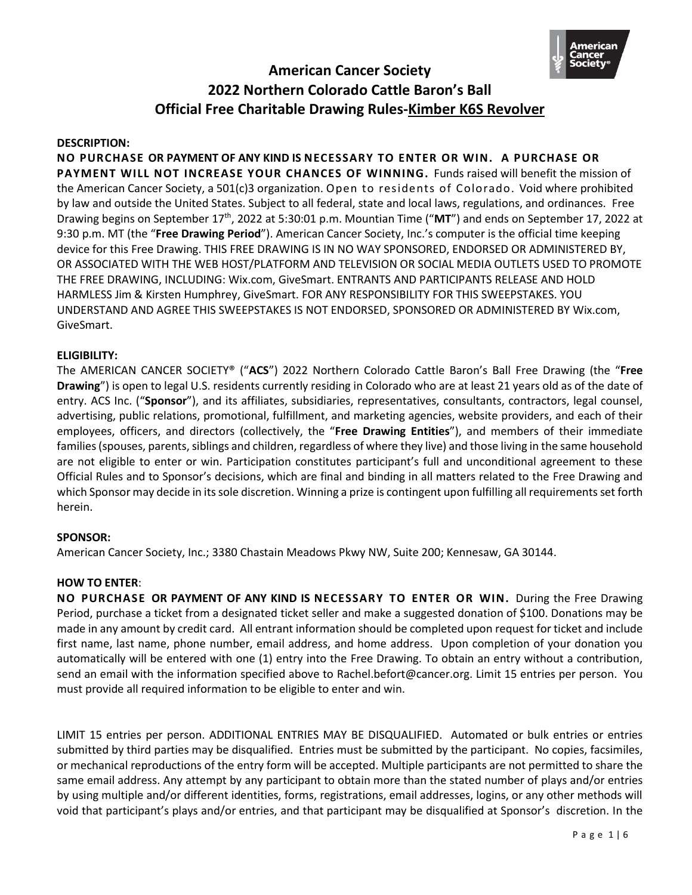

#### **DESCRIPTION:**

**NO PURCHASE OR PAYMENT OF ANY KIND IS NECESSARY TO ENTER OR WIN. A PURCHASE OR PAYMENT WILL NOT INCREASE YOUR CHANCES OF WINNING.** Funds raised will benefit the mission of the American Cancer Society, a 501(c)3 organization. Open to residents of Colorado. Void where prohibited by law and outside the United States. Subject to all federal, state and local laws, regulations, and ordinances. Free Drawing begins on September 17th, 2022 at 5:30:01 p.m. Mountian Time ("**MT**") and ends on September 17, 2022 at 9:30 p.m. MT (the "**Free Drawing Period**"). American Cancer Society, Inc.'s computer is the official time keeping device for this Free Drawing. THIS FREE DRAWING IS IN NO WAY SPONSORED, ENDORSED OR ADMINISTERED BY, OR ASSOCIATED WITH THE WEB HOST/PLATFORM AND TELEVISION OR SOCIAL MEDIA OUTLETS USED TO PROMOTE THE FREE DRAWING, INCLUDING: Wix.com, GiveSmart. ENTRANTS AND PARTICIPANTS RELEASE AND HOLD HARMLESS Jim & Kirsten Humphrey, GiveSmart. FOR ANY RESPONSIBILITY FOR THIS SWEEPSTAKES. YOU UNDERSTAND AND AGREE THIS SWEEPSTAKES IS NOT ENDORSED, SPONSORED OR ADMINISTERED BY Wix.com, GiveSmart.

### **ELIGIBILITY:**

The AMERICAN CANCER SOCIETY® ("**ACS**") 2022 Northern Colorado Cattle Baron's Ball Free Drawing (the "**Free Drawing**") is open to legal U.S. residents currently residing in Colorado who are at least 21 years old as of the date of entry. ACS Inc. ("**Sponsor**"), and its affiliates, subsidiaries, representatives, consultants, contractors, legal counsel, advertising, public relations, promotional, fulfillment, and marketing agencies, website providers, and each of their employees, officers, and directors (collectively, the "**Free Drawing Entities**"), and members of their immediate families (spouses, parents, siblings and children, regardless of where they live) and those living in the same household are not eligible to enter or win. Participation constitutes participant's full and unconditional agreement to these Official Rules and to Sponsor's decisions, which are final and binding in all matters related to the Free Drawing and which Sponsor may decide in its sole discretion. Winning a prize is contingent upon fulfilling all requirements set forth herein.

#### **SPONSOR:**

American Cancer Society, Inc.; 3380 Chastain Meadows Pkwy NW, Suite 200; Kennesaw, GA 30144.

#### **HOW TO ENTER**:

**NO PURCHASE OR PAYMENT OF ANY KIND IS NECESSARY TO ENTER OR WIN.** During the Free Drawing Period, purchase a ticket from a designated ticket seller and make a suggested donation of \$100. Donations may be made in any amount by credit card. All entrant information should be completed upon request for ticket and include first name, last name, phone number, email address, and home address. Upon completion of your donation you automatically will be entered with one (1) entry into the Free Drawing. To obtain an entry without a contribution, send an email with the information specified above to Rachel.befort@cancer.org. Limit 15 entries per person. You must provide all required information to be eligible to enter and win.

LIMIT 15 entries per person. ADDITIONAL ENTRIES MAY BE DISQUALIFIED. Automated or bulk entries or entries submitted by third parties may be disqualified. Entries must be submitted by the participant. No copies, facsimiles, or mechanical reproductions of the entry form will be accepted. Multiple participants are not permitted to share the same email address. Any attempt by any participant to obtain more than the stated number of plays and/or entries by using multiple and/or different identities, forms, registrations, email addresses, logins, or any other methods will void that participant's plays and/or entries, and that participant may be disqualified at Sponsor's discretion. In the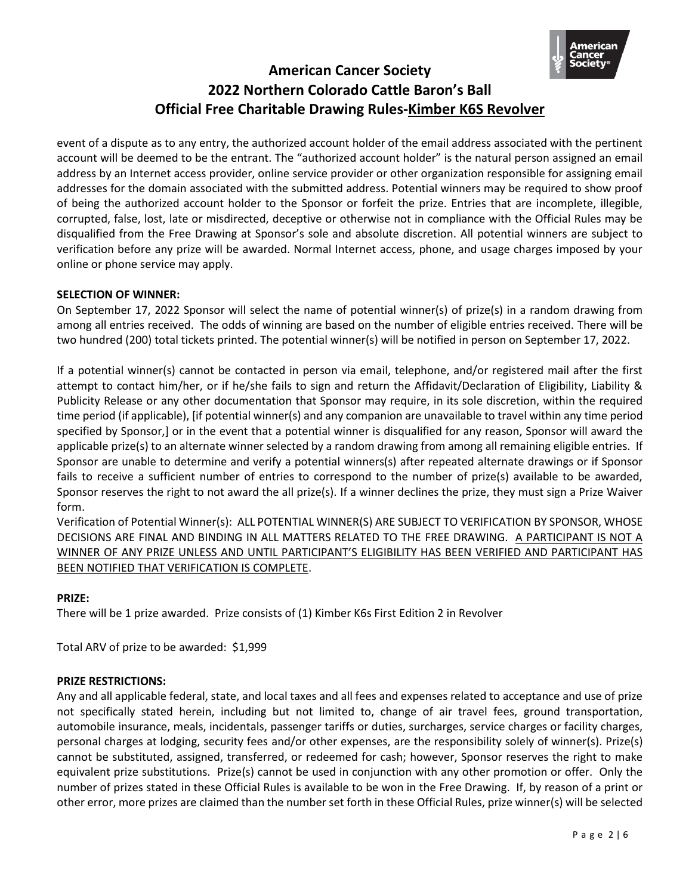

event of a dispute as to any entry, the authorized account holder of the email address associated with the pertinent account will be deemed to be the entrant. The "authorized account holder" is the natural person assigned an email address by an Internet access provider, online service provider or other organization responsible for assigning email addresses for the domain associated with the submitted address. Potential winners may be required to show proof of being the authorized account holder to the Sponsor or forfeit the prize. Entries that are incomplete, illegible, corrupted, false, lost, late or misdirected, deceptive or otherwise not in compliance with the Official Rules may be disqualified from the Free Drawing at Sponsor's sole and absolute discretion. All potential winners are subject to verification before any prize will be awarded. Normal Internet access, phone, and usage charges imposed by your online or phone service may apply.

## **SELECTION OF WINNER:**

On September 17, 2022 Sponsor will select the name of potential winner(s) of prize(s) in a random drawing from among all entries received. The odds of winning are based on the number of eligible entries received. There will be two hundred (200) total tickets printed. The potential winner(s) will be notified in person on September 17, 2022.

If a potential winner(s) cannot be contacted in person via email, telephone, and/or registered mail after the first attempt to contact him/her, or if he/she fails to sign and return the Affidavit/Declaration of Eligibility, Liability & Publicity Release or any other documentation that Sponsor may require, in its sole discretion, within the required time period (if applicable), [if potential winner(s) and any companion are unavailable to travel within any time period specified by Sponsor,] or in the event that a potential winner is disqualified for any reason, Sponsor will award the applicable prize(s) to an alternate winner selected by a random drawing from among all remaining eligible entries. If Sponsor are unable to determine and verify a potential winners(s) after repeated alternate drawings or if Sponsor fails to receive a sufficient number of entries to correspond to the number of prize(s) available to be awarded, Sponsor reserves the right to not award the all prize(s). If a winner declines the prize, they must sign a Prize Waiver form.

Verification of Potential Winner(s): ALL POTENTIAL WINNER(S) ARE SUBJECT TO VERIFICATION BY SPONSOR, WHOSE DECISIONS ARE FINAL AND BINDING IN ALL MATTERS RELATED TO THE FREE DRAWING. A PARTICIPANT IS NOT A WINNER OF ANY PRIZE UNLESS AND UNTIL PARTICIPANT'S ELIGIBILITY HAS BEEN VERIFIED AND PARTICIPANT HAS BEEN NOTIFIED THAT VERIFICATION IS COMPLETE.

## **PRIZE:**

There will be 1 prize awarded. Prize consists of (1) Kimber K6s First Edition 2 in Revolver

Total ARV of prize to be awarded: \$1,999

#### **PRIZE RESTRICTIONS:**

Any and all applicable federal, state, and local taxes and all fees and expenses related to acceptance and use of prize not specifically stated herein, including but not limited to, change of air travel fees, ground transportation, automobile insurance, meals, incidentals, passenger tariffs or duties, surcharges, service charges or facility charges, personal charges at lodging, security fees and/or other expenses, are the responsibility solely of winner(s). Prize(s) cannot be substituted, assigned, transferred, or redeemed for cash; however, Sponsor reserves the right to make equivalent prize substitutions. Prize(s) cannot be used in conjunction with any other promotion or offer. Only the number of prizes stated in these Official Rules is available to be won in the Free Drawing. If, by reason of a print or other error, more prizes are claimed than the number set forth in these Official Rules, prize winner(s) will be selected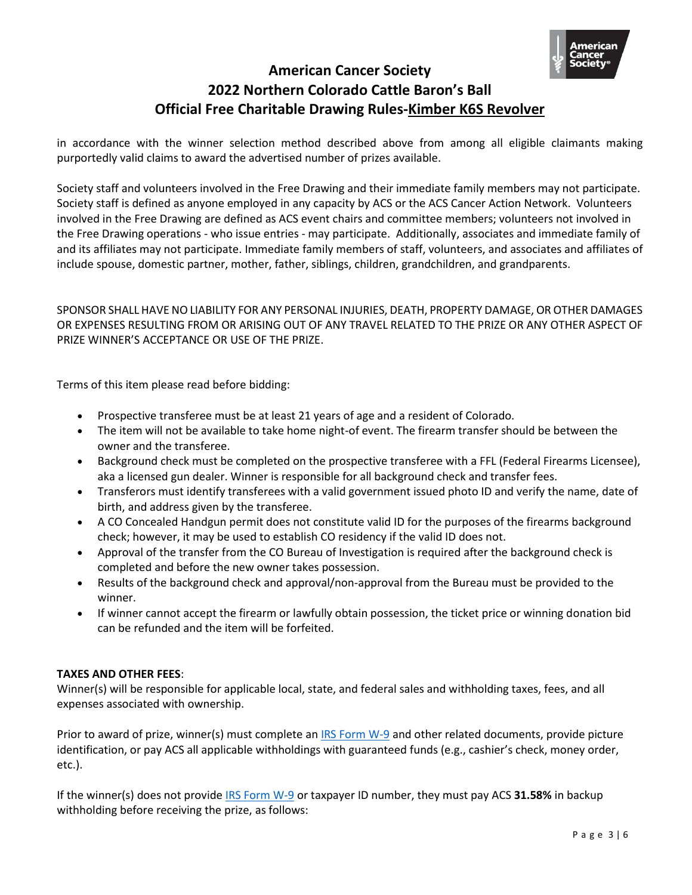

in accordance with the winner selection method described above from among all eligible claimants making purportedly valid claims to award the advertised number of prizes available.

Society staff and volunteers involved in the Free Drawing and their immediate family members may not participate. Society staff is defined as anyone employed in any capacity by ACS or the ACS Cancer Action Network. Volunteers involved in the Free Drawing are defined as ACS event chairs and committee members; volunteers not involved in the Free Drawing operations - who issue entries - may participate. Additionally, associates and immediate family of and its affiliates may not participate. Immediate family members of staff, volunteers, and associates and affiliates of include spouse, domestic partner, mother, father, siblings, children, grandchildren, and grandparents.

SPONSOR SHALL HAVE NO LIABILITY FOR ANY PERSONAL INJURIES, DEATH, PROPERTY DAMAGE, OR OTHER DAMAGES OR EXPENSES RESULTING FROM OR ARISING OUT OF ANY TRAVEL RELATED TO THE PRIZE OR ANY OTHER ASPECT OF PRIZE WINNER'S ACCEPTANCE OR USE OF THE PRIZE.

Terms of this item please read before bidding:

- Prospective transferee must be at least 21 years of age and a resident of Colorado.
- The item will not be available to take home night-of event. The firearm transfer should be between the owner and the transferee.
- Background check must be completed on the prospective transferee with a FFL (Federal Firearms Licensee), aka a licensed gun dealer. Winner is responsible for all background check and transfer fees.
- Transferors must identify transferees with a valid government issued photo ID and verify the name, date of birth, and address given by the transferee.
- A CO Concealed Handgun permit does not constitute valid ID for the purposes of the firearms background check; however, it may be used to establish CO residency if the valid ID does not.
- Approval of the transfer from the CO Bureau of Investigation is required after the background check is completed and before the new owner takes possession.
- Results of the background check and approval/non-approval from the Bureau must be provided to the winner.
- If winner cannot accept the firearm or lawfully obtain possession, the ticket price or winning donation bid can be refunded and the item will be forfeited.

## **TAXES AND OTHER FEES**:

Winner(s) will be responsible for applicable local, state, and federal sales and withholding taxes, fees, and all expenses associated with ownership.

Prior to award of prize, winner(s) must complete an [IRS Form](https://www.irs.gov/pub/irs-pdf/fw9.pdf) W-9 and other related documents, provide picture identification, or pay ACS all applicable withholdings with guaranteed funds (e.g., cashier's check, money order, etc.).

If the winner(s) does not provid[e IRS Form W-9](https://www.irs.gov/pub/irs-pdf/fw9.pdf) or taxpayer ID number, they must pay ACS **31.58%** in backup withholding before receiving the prize, as follows: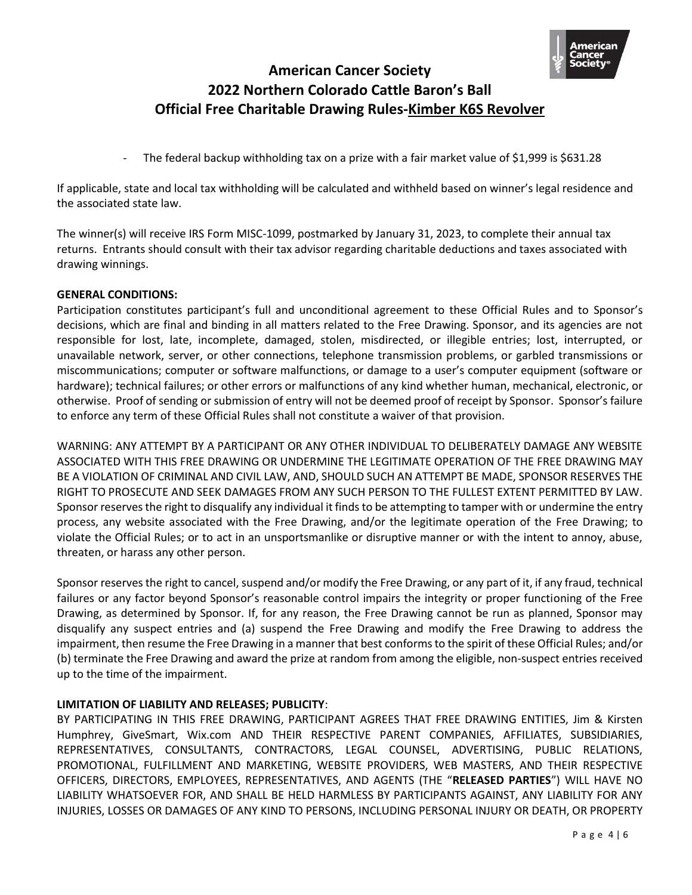

- The federal backup withholding tax on a prize with a fair market value of \$1,999 is \$631.28

If applicable, state and local tax withholding will be calculated and withheld based on winner's legal residence and the associated state law.

The winner(s) will receive IRS Form MISC-1099, postmarked by January 31, 2023, to complete their annual tax returns. Entrants should consult with their tax advisor regarding charitable deductions and taxes associated with drawing winnings.

### **GENERAL CONDITIONS:**

Participation constitutes participant's full and unconditional agreement to these Official Rules and to Sponsor's decisions, which are final and binding in all matters related to the Free Drawing. Sponsor, and its agencies are not responsible for lost, late, incomplete, damaged, stolen, misdirected, or illegible entries; lost, interrupted, or unavailable network, server, or other connections, telephone transmission problems, or garbled transmissions or miscommunications; computer or software malfunctions, or damage to a user's computer equipment (software or hardware); technical failures; or other errors or malfunctions of any kind whether human, mechanical, electronic, or otherwise. Proof of sending or submission of entry will not be deemed proof of receipt by Sponsor. Sponsor's failure to enforce any term of these Official Rules shall not constitute a waiver of that provision.

WARNING: ANY ATTEMPT BY A PARTICIPANT OR ANY OTHER INDIVIDUAL TO DELIBERATELY DAMAGE ANY WEBSITE ASSOCIATED WITH THIS FREE DRAWING OR UNDERMINE THE LEGITIMATE OPERATION OF THE FREE DRAWING MAY BE A VIOLATION OF CRIMINAL AND CIVIL LAW, AND, SHOULD SUCH AN ATTEMPT BE MADE, SPONSOR RESERVES THE RIGHT TO PROSECUTE AND SEEK DAMAGES FROM ANY SUCH PERSON TO THE FULLEST EXTENT PERMITTED BY LAW. Sponsor reserves the right to disqualify any individual it finds to be attempting to tamper with or undermine the entry process, any website associated with the Free Drawing, and/or the legitimate operation of the Free Drawing; to violate the Official Rules; or to act in an unsportsmanlike or disruptive manner or with the intent to annoy, abuse, threaten, or harass any other person.

Sponsor reserves the right to cancel, suspend and/or modify the Free Drawing, or any part of it, if any fraud, technical failures or any factor beyond Sponsor's reasonable control impairs the integrity or proper functioning of the Free Drawing, as determined by Sponsor. If, for any reason, the Free Drawing cannot be run as planned, Sponsor may disqualify any suspect entries and (a) suspend the Free Drawing and modify the Free Drawing to address the impairment, then resume the Free Drawing in a manner that best conforms to the spirit of these Official Rules; and/or (b) terminate the Free Drawing and award the prize at random from among the eligible, non-suspect entries received up to the time of the impairment.

## **LIMITATION OF LIABILITY AND RELEASES; PUBLICITY**:

BY PARTICIPATING IN THIS FREE DRAWING, PARTICIPANT AGREES THAT FREE DRAWING ENTITIES, Jim & Kirsten Humphrey, GiveSmart, Wix.com AND THEIR RESPECTIVE PARENT COMPANIES, AFFILIATES, SUBSIDIARIES, REPRESENTATIVES, CONSULTANTS, CONTRACTORS, LEGAL COUNSEL, ADVERTISING, PUBLIC RELATIONS, PROMOTIONAL, FULFILLMENT AND MARKETING, WEBSITE PROVIDERS, WEB MASTERS, AND THEIR RESPECTIVE OFFICERS, DIRECTORS, EMPLOYEES, REPRESENTATIVES, AND AGENTS (THE "**RELEASED PARTIES**") WILL HAVE NO LIABILITY WHATSOEVER FOR, AND SHALL BE HELD HARMLESS BY PARTICIPANTS AGAINST, ANY LIABILITY FOR ANY INJURIES, LOSSES OR DAMAGES OF ANY KIND TO PERSONS, INCLUDING PERSONAL INJURY OR DEATH, OR PROPERTY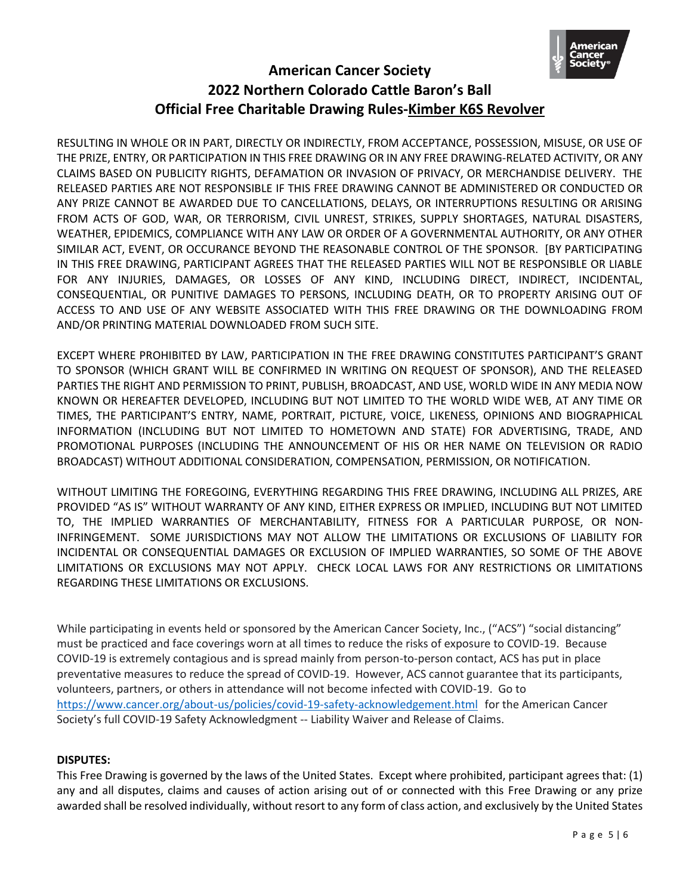

RESULTING IN WHOLE OR IN PART, DIRECTLY OR INDIRECTLY, FROM ACCEPTANCE, POSSESSION, MISUSE, OR USE OF THE PRIZE, ENTRY, OR PARTICIPATION IN THIS FREE DRAWING OR IN ANY FREE DRAWING-RELATED ACTIVITY, OR ANY CLAIMS BASED ON PUBLICITY RIGHTS, DEFAMATION OR INVASION OF PRIVACY, OR MERCHANDISE DELIVERY. THE RELEASED PARTIES ARE NOT RESPONSIBLE IF THIS FREE DRAWING CANNOT BE ADMINISTERED OR CONDUCTED OR ANY PRIZE CANNOT BE AWARDED DUE TO CANCELLATIONS, DELAYS, OR INTERRUPTIONS RESULTING OR ARISING FROM ACTS OF GOD, WAR, OR TERRORISM, CIVIL UNREST, STRIKES, SUPPLY SHORTAGES, NATURAL DISASTERS, WEATHER, EPIDEMICS, COMPLIANCE WITH ANY LAW OR ORDER OF A GOVERNMENTAL AUTHORITY, OR ANY OTHER SIMILAR ACT, EVENT, OR OCCURANCE BEYOND THE REASONABLE CONTROL OF THE SPONSOR. [BY PARTICIPATING IN THIS FREE DRAWING, PARTICIPANT AGREES THAT THE RELEASED PARTIES WILL NOT BE RESPONSIBLE OR LIABLE FOR ANY INJURIES, DAMAGES, OR LOSSES OF ANY KIND, INCLUDING DIRECT, INDIRECT, INCIDENTAL, CONSEQUENTIAL, OR PUNITIVE DAMAGES TO PERSONS, INCLUDING DEATH, OR TO PROPERTY ARISING OUT OF ACCESS TO AND USE OF ANY WEBSITE ASSOCIATED WITH THIS FREE DRAWING OR THE DOWNLOADING FROM AND/OR PRINTING MATERIAL DOWNLOADED FROM SUCH SITE.

EXCEPT WHERE PROHIBITED BY LAW, PARTICIPATION IN THE FREE DRAWING CONSTITUTES PARTICIPANT'S GRANT TO SPONSOR (WHICH GRANT WILL BE CONFIRMED IN WRITING ON REQUEST OF SPONSOR), AND THE RELEASED PARTIES THE RIGHT AND PERMISSION TO PRINT, PUBLISH, BROADCAST, AND USE, WORLD WIDE IN ANY MEDIA NOW KNOWN OR HEREAFTER DEVELOPED, INCLUDING BUT NOT LIMITED TO THE WORLD WIDE WEB, AT ANY TIME OR TIMES, THE PARTICIPANT'S ENTRY, NAME, PORTRAIT, PICTURE, VOICE, LIKENESS, OPINIONS AND BIOGRAPHICAL INFORMATION (INCLUDING BUT NOT LIMITED TO HOMETOWN AND STATE) FOR ADVERTISING, TRADE, AND PROMOTIONAL PURPOSES (INCLUDING THE ANNOUNCEMENT OF HIS OR HER NAME ON TELEVISION OR RADIO BROADCAST) WITHOUT ADDITIONAL CONSIDERATION, COMPENSATION, PERMISSION, OR NOTIFICATION.

WITHOUT LIMITING THE FOREGOING, EVERYTHING REGARDING THIS FREE DRAWING, INCLUDING ALL PRIZES, ARE PROVIDED "AS IS" WITHOUT WARRANTY OF ANY KIND, EITHER EXPRESS OR IMPLIED, INCLUDING BUT NOT LIMITED TO, THE IMPLIED WARRANTIES OF MERCHANTABILITY, FITNESS FOR A PARTICULAR PURPOSE, OR NON-INFRINGEMENT. SOME JURISDICTIONS MAY NOT ALLOW THE LIMITATIONS OR EXCLUSIONS OF LIABILITY FOR INCIDENTAL OR CONSEQUENTIAL DAMAGES OR EXCLUSION OF IMPLIED WARRANTIES, SO SOME OF THE ABOVE LIMITATIONS OR EXCLUSIONS MAY NOT APPLY. CHECK LOCAL LAWS FOR ANY RESTRICTIONS OR LIMITATIONS REGARDING THESE LIMITATIONS OR EXCLUSIONS.

While participating in events held or sponsored by the American Cancer Society, Inc., ("ACS") "social distancing" must be practiced and face coverings worn at all times to reduce the risks of exposure to COVID-19. Because COVID-19 is extremely contagious and is spread mainly from person-to-person contact, ACS has put in place preventative measures to reduce the spread of COVID-19. However, ACS cannot guarantee that its participants, volunteers, partners, or others in attendance will not become infected with COVID-19. Go to <https://www.cancer.org/about-us/policies/covid-19-safety-acknowledgement.html> for the American Cancer Society's full COVID-19 Safety Acknowledgment -- Liability Waiver and Release of Claims.

## **DISPUTES:**

This Free Drawing is governed by the laws of the United States. Except where prohibited, participant agrees that: (1) any and all disputes, claims and causes of action arising out of or connected with this Free Drawing or any prize awarded shall be resolved individually, without resort to any form of class action, and exclusively by the United States